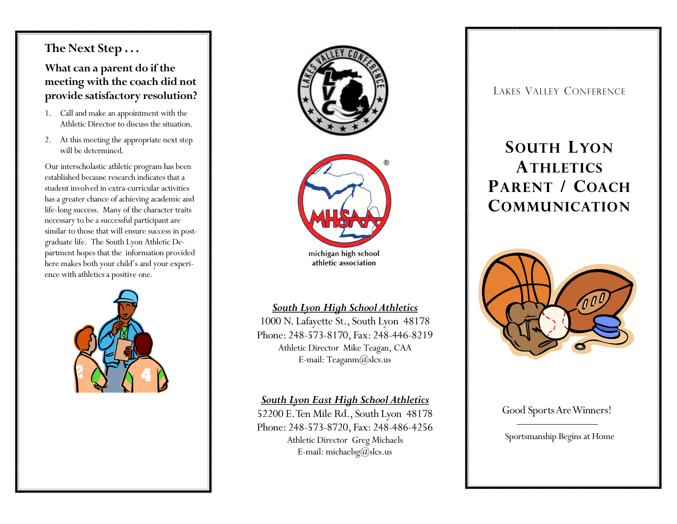# **The Next Step . . .**

# **What can a parent do if the meeting with the coach did not provide satisfactory resolution?**

- 1. Call and make an appointment with the Athletic Director to discuss the situation.
- 2. At this meeting the appropriate next step will be determined.

Our interscholastic athletic program has been established because research indicates that a student involved in extra-curricular activities has a greater chance of achieving academic and life-long success. Many of the character traits necessary to be a successful participant are similar to those that will ensure success in postgraduate life. The South Lyon Athletic Department hopes that the information provided here makes both your child's and your experience with athletics a positive one.





#### *South Lyon High School Athletics*

1000 N. Lafayette St., South Lyon 48178 Phone: 248-573-8170, Fax: 248-446-8219 Athletic Director Mike Teagan, CAA E-mail: Teaganm@slcs.us

#### *South Lyon East High School Athletics*

52200 E. Ten Mile Rd., South Lyon 48178 Phone: 248-573-8720, Fax: 248-486-4256 Athletic Director Greg Michaels E-mail: michaelsg $(\partial_s)$ slcs.us

LAKES VALLEY CONFERENCE

# **SOUTH LYON ATHLETICS PARENT / COACH COMMUNICATION**



### Good Sports Are Winners!

Sportsmanship Begins at Home